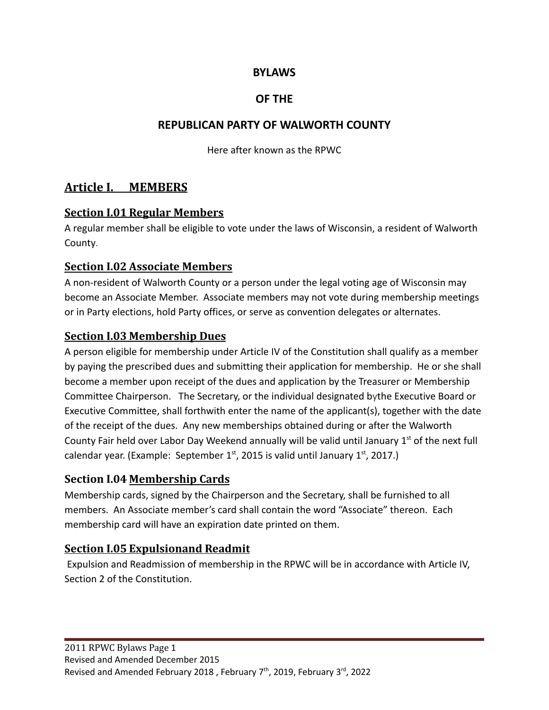#### **BYLAWS**

### **OF THE**

### **REPUBLICAN PARTY OF WALWORTH COUNTY**

Here after known as the RPWC

### **Article I. MEMBERS**

### **Section I.01 Regular Members**

A regular member shall be eligible to vote under the laws of Wisconsin, a resident of Walworth County.

#### **Section I.02 Associate Members**

A non-resident of Walworth County or a person under the legal voting age of Wisconsin may become an Associate Member. Associate members may not vote during membership meetings or in Party elections, hold Party offices, or serve as convention delegates or alternates.

### **Section I.03 Membership Dues**

A person eligible for membership under Article IV of the Constitution shall qualify as a member by paying the prescribed dues and submitting their application for membership. He or she shall become a member upon receipt of the dues and application by the Treasurer or Membership Committee Chairperson. The Secretary, or the individual designated bythe Executive Board or Executive Committee, shall forthwith enter the name of the applicant(s), together with the date of the receipt of the dues. Any new memberships obtained during or after the Walworth County Fair held over Labor Day Weekend annually will be valid until January  $1<sup>st</sup>$  of the next full calendar year. (Example: September 1st, 2015 is valid until January 1st, 2017.)

### **Section I.04 Membership Cards**

Membership cards, signed by the Chairperson and the Secretary, shall be furnished to all members. An Associate member's card shall contain the word "Associate" thereon. Each membership card will have an expiration date printed on them.

### **Section I.05 Expulsionand Readmit**

Expulsion and Readmission of membership in the RPWC will be in accordance with Article IV, Section 2 of the Constitution.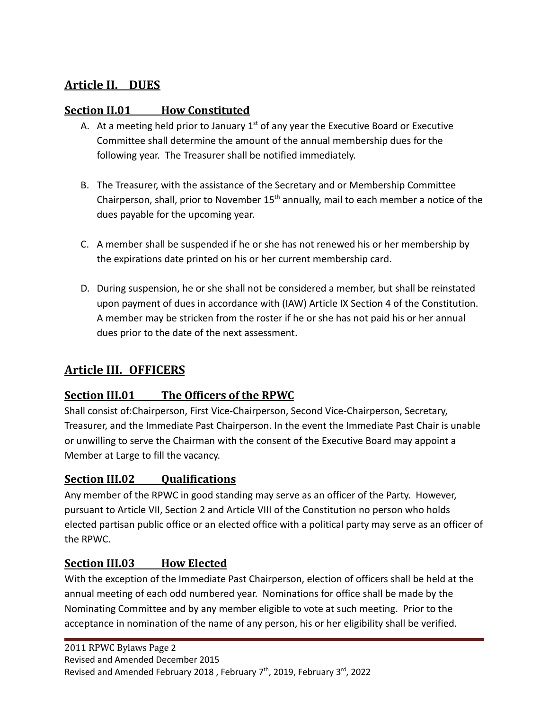# **Article II. DUES**

## **Section II.01 How Constituted**

- A. At a meeting held prior to January  $1<sup>st</sup>$  of any year the Executive Board or Executive Committee shall determine the amount of the annual membership dues for the following year. The Treasurer shall be notified immediately.
- B. The Treasurer, with the assistance of the Secretary and or Membership Committee Chairperson, shall, prior to November  $15<sup>th</sup>$  annually, mail to each member a notice of the dues payable for the upcoming year.
- C. A member shall be suspended if he or she has not renewed his or her membership by the expirations date printed on his or her current membership card.
- D. During suspension, he or she shall not be considered a member, but shall be reinstated upon payment of dues in accordance with (IAW) Article IX Section 4 of the Constitution. A member may be stricken from the roster if he or she has not paid his or her annual dues prior to the date of the next assessment.

# **Article III. OFFICERS**

## **Section III.01 The Officers of the RPWC**

Shall consist of:Chairperson, First Vice-Chairperson, Second Vice-Chairperson, Secretary, Treasurer, and the Immediate Past Chairperson. In the event the Immediate Past Chair is unable or unwilling to serve the Chairman with the consent of the Executive Board may appoint a Member at Large to fill the vacancy.

### **Section III.02 Qualifications**

Any member of the RPWC in good standing may serve as an officer of the Party. However, pursuant to Article VII, Section 2 and Article VIII of the Constitution no person who holds elected partisan public office or an elected office with a political party may serve as an officer of the RPWC.

### **Section III.03 How Elected**

With the exception of the Immediate Past Chairperson, election of officers shall be held at the annual meeting of each odd numbered year. Nominations for office shall be made by the Nominating Committee and by any member eligible to vote at such meeting. Prior to the acceptance in nomination of the name of any person, his or her eligibility shall be verified.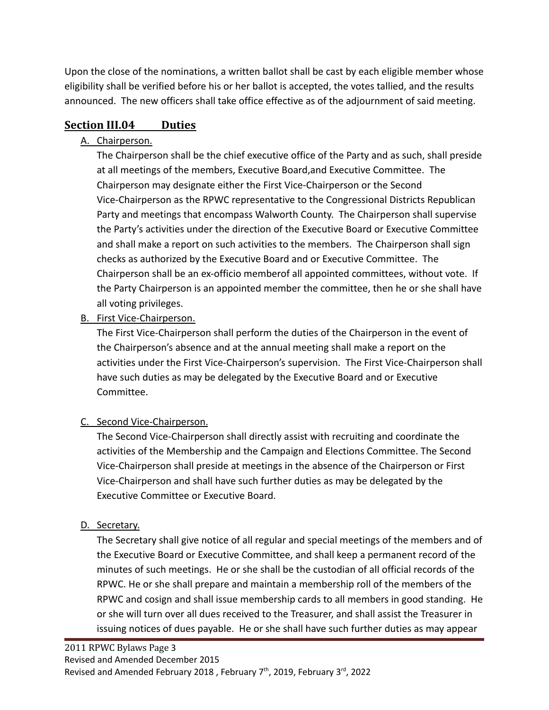Upon the close of the nominations, a written ballot shall be cast by each eligible member whose eligibility shall be verified before his or her ballot is accepted, the votes tallied, and the results announced. The new officers shall take office effective as of the adjournment of said meeting.

## **Section III.04 Duties**

### A. Chairperson.

The Chairperson shall be the chief executive office of the Party and as such, shall preside at all meetings of the members, Executive Board,and Executive Committee. The Chairperson may designate either the First Vice-Chairperson or the Second Vice-Chairperson as the RPWC representative to the Congressional Districts Republican Party and meetings that encompass Walworth County. The Chairperson shall supervise the Party's activities under the direction of the Executive Board or Executive Committee and shall make a report on such activities to the members. The Chairperson shall sign checks as authorized by the Executive Board and or Executive Committee. The Chairperson shall be an ex-officio memberof all appointed committees, without vote. If the Party Chairperson is an appointed member the committee, then he or she shall have all voting privileges.

## B. First Vice-Chairperson.

The First Vice-Chairperson shall perform the duties of the Chairperson in the event of the Chairperson's absence and at the annual meeting shall make a report on the activities under the First Vice-Chairperson's supervision. The First Vice-Chairperson shall have such duties as may be delegated by the Executive Board and or Executive Committee.

## C. Second Vice-Chairperson.

The Second Vice-Chairperson shall directly assist with recruiting and coordinate the activities of the Membership and the Campaign and Elections Committee. The Second Vice-Chairperson shall preside at meetings in the absence of the Chairperson or First Vice-Chairperson and shall have such further duties as may be delegated by the Executive Committee or Executive Board.

## D. Secretary.

The Secretary shall give notice of all regular and special meetings of the members and of the Executive Board or Executive Committee, and shall keep a permanent record of the minutes of such meetings. He or she shall be the custodian of all official records of the RPWC. He or she shall prepare and maintain a membership roll of the members of the RPWC and cosign and shall issue membership cards to all members in good standing. He or she will turn over all dues received to the Treasurer, and shall assist the Treasurer in issuing notices of dues payable. He or she shall have such further duties as may appear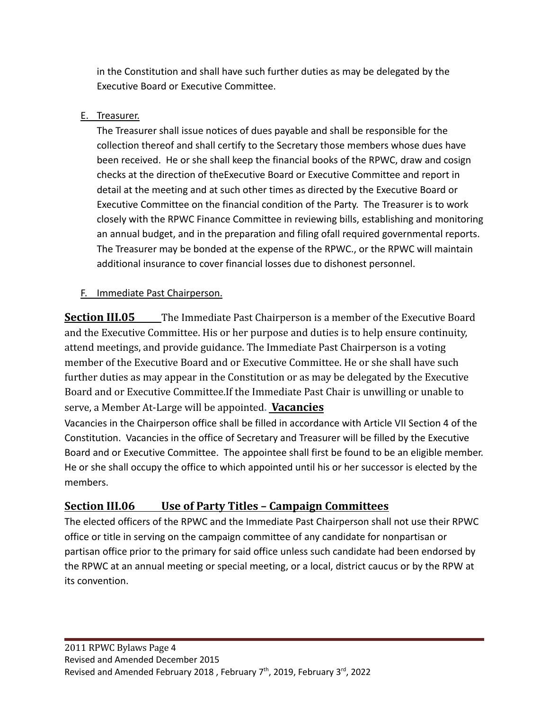in the Constitution and shall have such further duties as may be delegated by the Executive Board or Executive Committee.

### E. Treasurer.

The Treasurer shall issue notices of dues payable and shall be responsible for the collection thereof and shall certify to the Secretary those members whose dues have been received. He or she shall keep the financial books of the RPWC, draw and cosign checks at the direction of theExecutive Board or Executive Committee and report in detail at the meeting and at such other times as directed by the Executive Board or Executive Committee on the financial condition of the Party. The Treasurer is to work closely with the RPWC Finance Committee in reviewing bills, establishing and monitoring an annual budget, and in the preparation and filing ofall required governmental reports. The Treasurer may be bonded at the expense of the RPWC., or the RPWC will maintain additional insurance to cover financial losses due to dishonest personnel.

### F. Immediate Past Chairperson.

**Section III.05** The Immediate Past Chairperson is a member of the Executive Board and the Executive Committee. His or her purpose and duties is to help ensure continuity, attend meetings, and provide guidance. The Immediate Past Chairperson is a voting member of the Executive Board and or Executive Committee. He or she shall have such further duties as may appear in the Constitution or as may be delegated by the Executive Board and or Executive Committee.If the Immediate Past Chair is unwilling or unable to serve, a Member At-Large will be appointed**. Vacancies**

Vacancies in the Chairperson office shall be filled in accordance with Article VII Section 4 of the Constitution. Vacancies in the office of Secretary and Treasurer will be filled by the Executive Board and or Executive Committee. The appointee shall first be found to be an eligible member. He or she shall occupy the office to which appointed until his or her successor is elected by the members.

### **Section III.06 Use of Party Titles – Campaign Committees**

The elected officers of the RPWC and the Immediate Past Chairperson shall not use their RPWC office or title in serving on the campaign committee of any candidate for nonpartisan or partisan office prior to the primary for said office unless such candidate had been endorsed by the RPWC at an annual meeting or special meeting, or a local, district caucus or by the RPW at its convention.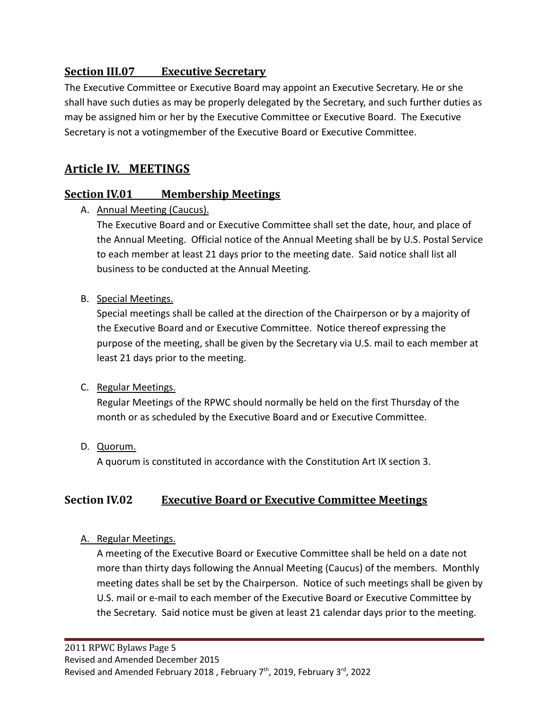### **Section III.07 Executive Secretary**

The Executive Committee or Executive Board may appoint an Executive Secretary. He or she shall have such duties as may be properly delegated by the Secretary, and such further duties as may be assigned him or her by the Executive Committee or Executive Board. The Executive Secretary is not a votingmember of the Executive Board or Executive Committee.

## **Article IV. MEETINGS**

### **Section IV.01 Membership Meetings**

A. Annual Meeting (Caucus).

The Executive Board and or Executive Committee shall set the date, hour, and place of the Annual Meeting. Official notice of the Annual Meeting shall be by U.S. Postal Service to each member at least 21 days prior to the meeting date. Said notice shall list all business to be conducted at the Annual Meeting.

#### B. Special Meetings.

Special meetings shall be called at the direction of the Chairperson or by a majority of the Executive Board and or Executive Committee. Notice thereof expressing the purpose of the meeting, shall be given by the Secretary via U.S. mail to each member at least 21 days prior to the meeting.

#### C. Regular Meetings.

Regular Meetings of the RPWC should normally be held on the first Thursday of the month or as scheduled by the Executive Board and or Executive Committee.

D. Quorum.

A quorum is constituted in accordance with the Constitution Art IX section 3.

### **Section IV.02 Executive Board or Executive Committee Meetings**

#### A. Regular Meetings.

A meeting of the Executive Board or Executive Committee shall be held on a date not more than thirty days following the Annual Meeting (Caucus) of the members. Monthly meeting dates shall be set by the Chairperson. Notice of such meetings shall be given by U.S. mail or e-mail to each member of the Executive Board or Executive Committee by the Secretary. Said notice must be given at least 21 calendar days prior to the meeting.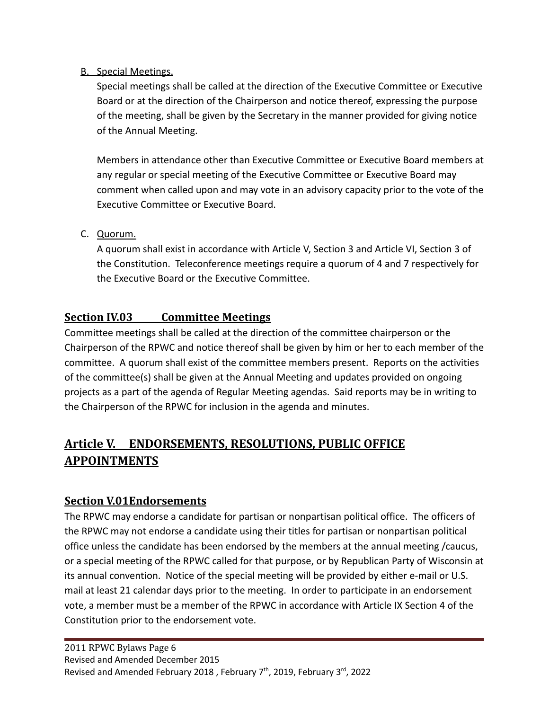#### B. Special Meetings.

Special meetings shall be called at the direction of the Executive Committee or Executive Board or at the direction of the Chairperson and notice thereof, expressing the purpose of the meeting, shall be given by the Secretary in the manner provided for giving notice of the Annual Meeting.

Members in attendance other than Executive Committee or Executive Board members at any regular or special meeting of the Executive Committee or Executive Board may comment when called upon and may vote in an advisory capacity prior to the vote of the Executive Committee or Executive Board.

#### C. Quorum.

A quorum shall exist in accordance with Article V, Section 3 and Article VI, Section 3 of the Constitution. Teleconference meetings require a quorum of 4 and 7 respectively for the Executive Board or the Executive Committee.

### **Section IV.03 Committee Meetings**

Committee meetings shall be called at the direction of the committee chairperson or the Chairperson of the RPWC and notice thereof shall be given by him or her to each member of the committee. A quorum shall exist of the committee members present. Reports on the activities of the committee(s) shall be given at the Annual Meeting and updates provided on ongoing projects as a part of the agenda of Regular Meeting agendas. Said reports may be in writing to the Chairperson of the RPWC for inclusion in the agenda and minutes.

# **Article V. ENDORSEMENTS, RESOLUTIONS, PUBLIC OFFICE APPOINTMENTS**

### **Section V.01Endorsements**

The RPWC may endorse a candidate for partisan or nonpartisan political office. The officers of the RPWC may not endorse a candidate using their titles for partisan or nonpartisan political office unless the candidate has been endorsed by the members at the annual meeting /caucus, or a special meeting of the RPWC called for that purpose, or by Republican Party of Wisconsin at its annual convention. Notice of the special meeting will be provided by either e-mail or U.S. mail at least 21 calendar days prior to the meeting. In order to participate in an endorsement vote, a member must be a member of the RPWC in accordance with Article IX Section 4 of the Constitution prior to the endorsement vote.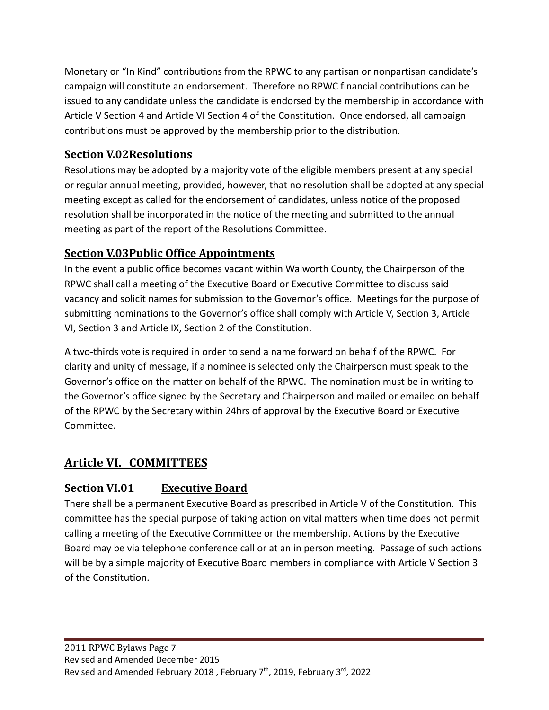Monetary or "In Kind" contributions from the RPWC to any partisan or nonpartisan candidate's campaign will constitute an endorsement. Therefore no RPWC financial contributions can be issued to any candidate unless the candidate is endorsed by the membership in accordance with Article V Section 4 and Article VI Section 4 of the Constitution. Once endorsed, all campaign contributions must be approved by the membership prior to the distribution.

## **Section V.02Resolutions**

Resolutions may be adopted by a majority vote of the eligible members present at any special or regular annual meeting, provided, however, that no resolution shall be adopted at any special meeting except as called for the endorsement of candidates, unless notice of the proposed resolution shall be incorporated in the notice of the meeting and submitted to the annual meeting as part of the report of the Resolutions Committee.

## **Section V.03Public Office Appointments**

In the event a public office becomes vacant within Walworth County, the Chairperson of the RPWC shall call a meeting of the Executive Board or Executive Committee to discuss said vacancy and solicit names for submission to the Governor's office. Meetings for the purpose of submitting nominations to the Governor's office shall comply with Article V, Section 3, Article VI, Section 3 and Article IX, Section 2 of the Constitution.

A two-thirds vote is required in order to send a name forward on behalf of the RPWC. For clarity and unity of message, if a nominee is selected only the Chairperson must speak to the Governor's office on the matter on behalf of the RPWC. The nomination must be in writing to the Governor's office signed by the Secretary and Chairperson and mailed or emailed on behalf of the RPWC by the Secretary within 24hrs of approval by the Executive Board or Executive Committee.

# **Article VI. COMMITTEES**

## **Section VI.01 Executive Board**

There shall be a permanent Executive Board as prescribed in Article V of the Constitution. This committee has the special purpose of taking action on vital matters when time does not permit calling a meeting of the Executive Committee or the membership. Actions by the Executive Board may be via telephone conference call or at an in person meeting. Passage of such actions will be by a simple majority of Executive Board members in compliance with Article V Section 3 of the Constitution.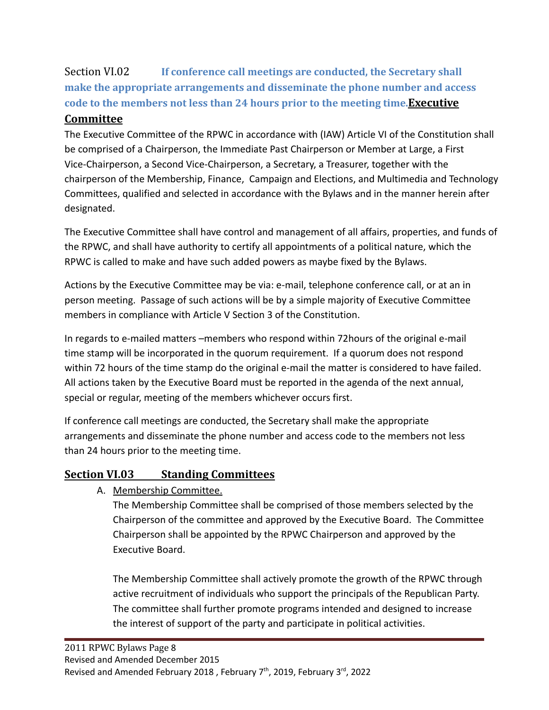Section VI.02 **If conference call meetings are conducted, the Secretary shall make the appropriate arrangements and disseminate the phone number and access code to the members not less than 24 hours prior to the meeting time.Executive**

### **Committee**

The Executive Committee of the RPWC in accordance with (IAW) Article VI of the Constitution shall be comprised of a Chairperson, the Immediate Past Chairperson or Member at Large, a First Vice-Chairperson, a Second Vice-Chairperson, a Secretary, a Treasurer, together with the chairperson of the Membership, Finance, Campaign and Elections, and Multimedia and Technology Committees, qualified and selected in accordance with the Bylaws and in the manner herein after designated.

The Executive Committee shall have control and management of all affairs, properties, and funds of the RPWC, and shall have authority to certify all appointments of a political nature, which the RPWC is called to make and have such added powers as maybe fixed by the Bylaws.

Actions by the Executive Committee may be via: e-mail, telephone conference call, or at an in person meeting. Passage of such actions will be by a simple majority of Executive Committee members in compliance with Article V Section 3 of the Constitution.

In regards to e-mailed matters –members who respond within 72hours of the original e-mail time stamp will be incorporated in the quorum requirement. If a quorum does not respond within 72 hours of the time stamp do the original e-mail the matter is considered to have failed. All actions taken by the Executive Board must be reported in the agenda of the next annual, special or regular, meeting of the members whichever occurs first.

If conference call meetings are conducted, the Secretary shall make the appropriate arrangements and disseminate the phone number and access code to the members not less than 24 hours prior to the meeting time.

### **Section VI.03 Standing Committees**

A. Membership Committee.

The Membership Committee shall be comprised of those members selected by the Chairperson of the committee and approved by the Executive Board. The Committee Chairperson shall be appointed by the RPWC Chairperson and approved by the Executive Board.

The Membership Committee shall actively promote the growth of the RPWC through active recruitment of individuals who support the principals of the Republican Party. The committee shall further promote programs intended and designed to increase the interest of support of the party and participate in political activities.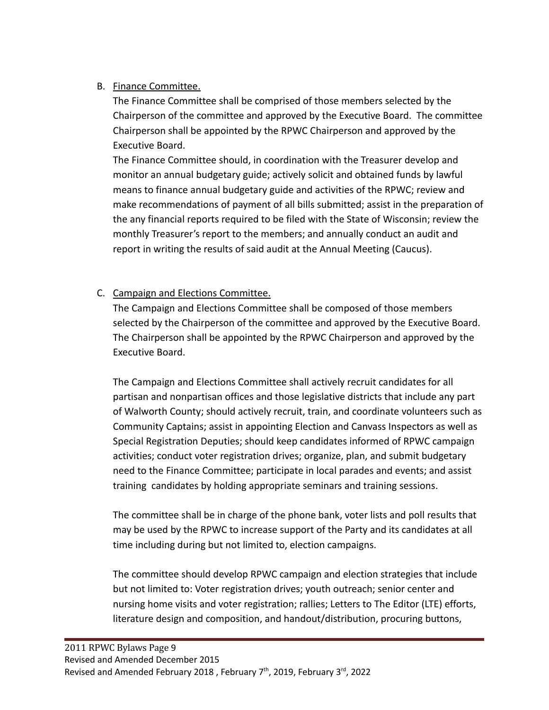### B. Finance Committee.

The Finance Committee shall be comprised of those members selected by the Chairperson of the committee and approved by the Executive Board. The committee Chairperson shall be appointed by the RPWC Chairperson and approved by the Executive Board.

The Finance Committee should, in coordination with the Treasurer develop and monitor an annual budgetary guide; actively solicit and obtained funds by lawful means to finance annual budgetary guide and activities of the RPWC; review and make recommendations of payment of all bills submitted; assist in the preparation of the any financial reports required to be filed with the State of Wisconsin; review the monthly Treasurer's report to the members; and annually conduct an audit and report in writing the results of said audit at the Annual Meeting (Caucus).

### C. Campaign and Elections Committee.

The Campaign and Elections Committee shall be composed of those members selected by the Chairperson of the committee and approved by the Executive Board. The Chairperson shall be appointed by the RPWC Chairperson and approved by the Executive Board.

The Campaign and Elections Committee shall actively recruit candidates for all partisan and nonpartisan offices and those legislative districts that include any part of Walworth County; should actively recruit, train, and coordinate volunteers such as Community Captains; assist in appointing Election and Canvass Inspectors as well as Special Registration Deputies; should keep candidates informed of RPWC campaign activities; conduct voter registration drives; organize, plan, and submit budgetary need to the Finance Committee; participate in local parades and events; and assist training candidates by holding appropriate seminars and training sessions.

The committee shall be in charge of the phone bank, voter lists and poll results that may be used by the RPWC to increase support of the Party and its candidates at all time including during but not limited to, election campaigns.

The committee should develop RPWC campaign and election strategies that include but not limited to: Voter registration drives; youth outreach; senior center and nursing home visits and voter registration; rallies; Letters to The Editor (LTE) efforts, literature design and composition, and handout/distribution, procuring buttons,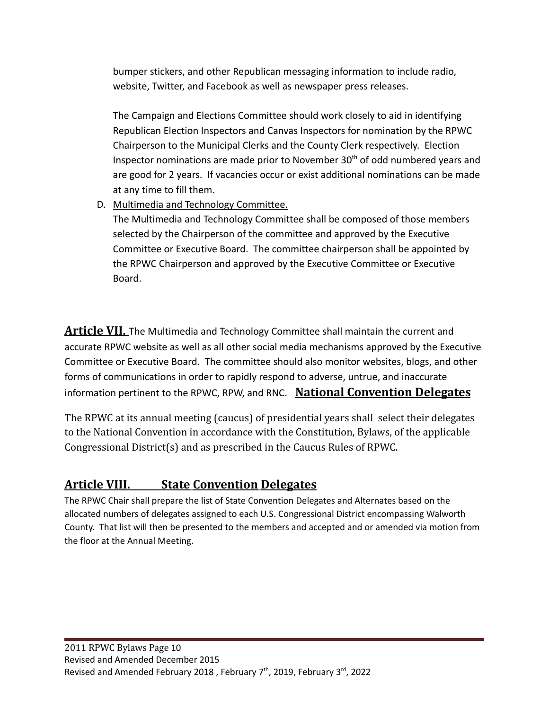bumper stickers, and other Republican messaging information to include radio, website, Twitter, and Facebook as well as newspaper press releases.

The Campaign and Elections Committee should work closely to aid in identifying Republican Election Inspectors and Canvas Inspectors for nomination by the RPWC Chairperson to the Municipal Clerks and the County Clerk respectively. Election Inspector nominations are made prior to November  $30<sup>th</sup>$  of odd numbered years and are good for 2 years. If vacancies occur or exist additional nominations can be made at any time to fill them.

D. Multimedia and Technology Committee. The Multimedia and Technology Committee shall be composed of those members selected by the Chairperson of the committee and approved by the Executive Committee or Executive Board. The committee chairperson shall be appointed by the RPWC Chairperson and approved by the Executive Committee or Executive Board.

**Article VII.** The Multimedia and Technology Committee shall maintain the current and accurate RPWC website as well as all other social media mechanisms approved by the Executive Committee or Executive Board. The committee should also monitor websites, blogs, and other forms of communications in order to rapidly respond to adverse, untrue, and inaccurate information pertinent to the RPWC, RPW, and RNC. **National Convention Delegates**

The RPWC at its annual meeting (caucus) of presidential years shall select their delegates to the National Convention in accordance with the Constitution, Bylaws, of the applicable Congressional District(s) and as prescribed in the Caucus Rules of RPWC.

# **Article VIII. State Convention Delegates**

The RPWC Chair shall prepare the list of State Convention Delegates and Alternates based on the allocated numbers of delegates assigned to each U.S. Congressional District encompassing Walworth County. That list will then be presented to the members and accepted and or amended via motion from the floor at the Annual Meeting.